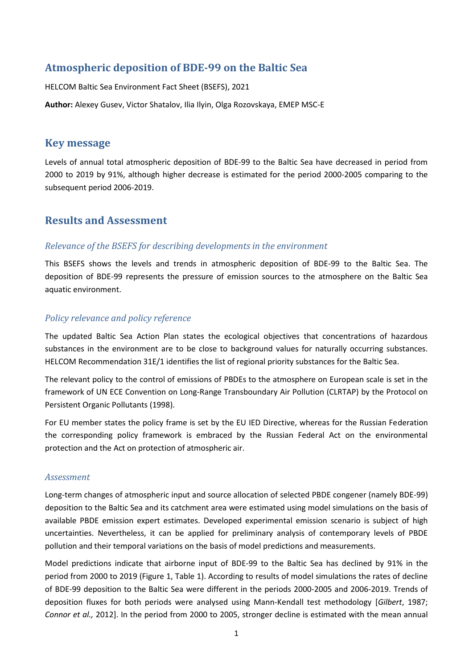# **Atmospheric deposition of BDE-99 on the Baltic Sea**

HELCOM Baltic Sea Environment Fact Sheet (BSEFS), 2021

**Author:** Alexey Gusev, Victor Shatalov, Ilia Ilyin, Olga Rozovskaya, EMEP MSC-E

## **Key message**

Levels of annual total atmospheric deposition of BDE-99 to the Baltic Sea have decreased in period from 2000 to 2019 by 91%, although higher decrease is estimated for the period 2000-2005 comparing to the subsequent period 2006-2019.

## **Results and Assessment**

### *Relevance of the BSEFS for describing developments in the environment*

This BSEFS shows the levels and trends in atmospheric deposition of BDE-99 to the Baltic Sea. The deposition of BDE-99 represents the pressure of emission sources to the atmosphere on the Baltic Sea aquatic environment.

## *Policy relevance and policy reference*

The updated Baltic Sea Action Plan states the ecological objectives that concentrations of hazardous substances in the environment are to be close to background values for naturally occurring substances. HELCOM Recommendation 31E/1 identifies the list of regional priority substances for the Baltic Sea.

The relevant policy to the control of emissions of PBDEs to the atmosphere on European scale is set in the framework of UN ECE Convention on Long-Range Transboundary Air Pollution (CLRTAP) by the Protocol on Persistent Organic Pollutants (1998).

For EU member states the policy frame is set by the EU IED Directive, whereas for the Russian Federation the corresponding policy framework is embraced by the Russian Federal Act on the environmental protection and the Act on protection of atmospheric air.

### *Assessment*

Long-term changes of atmospheric input and source allocation of selected PBDE congener (namely BDE-99) deposition to the Baltic Sea and its catchment area were estimated using model simulations on the basis of available PBDE emission expert estimates. Developed experimental emission scenario is subject of high uncertainties. Nevertheless, it can be applied for preliminary analysis of contemporary levels of PBDE pollution and their temporal variations on the basis of model predictions and measurements.

Model predictions indicate that airborne input of BDE-99 to the Baltic Sea has declined by 91% in the period from 2000 to 2019 (Figure 1, Table 1). According to results of model simulations the rates of decline of BDE-99 deposition to the Baltic Sea were different in the periods 2000-2005 and 2006-2019. Trends of deposition fluxes for both periods were analysed using Mann-Kendall test methodology [*Gilbert*, 1987; *Connor et al.,* 2012]. In the period from 2000 to 2005, stronger decline is estimated with the mean annual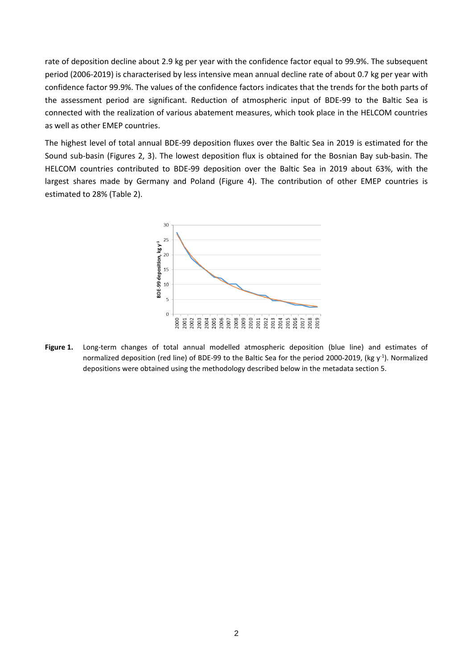rate of deposition decline about 2.9 kg per year with the confidence factor equal to 99.9%. The subsequent period (2006-2019) is characterised by less intensive mean annual decline rate of about 0.7 kg per year with confidence factor 99.9%. The values of the confidence factors indicates that the trends for the both parts of the assessment period are significant. Reduction of atmospheric input of BDE-99 to the Baltic Sea is connected with the realization of various abatement measures, which took place in the HELCOM countries as well as other EMEP countries.

The highest level of total annual BDE-99 deposition fluxes over the Baltic Sea in 2019 is estimated for the Sound sub-basin (Figures 2, 3). The lowest deposition flux is obtained for the Bosnian Bay sub-basin. The HELCOM countries contributed to BDE-99 deposition over the Baltic Sea in 2019 about 63%, with the largest shares made by Germany and Poland (Figure 4). The contribution of other EMEP countries is estimated to 28% (Table 2).



**Figure 1.** Long-term changes of total annual modelled atmospheric deposition (blue line) and estimates of normalized deposition (red line) of BDE-99 to the Baltic Sea for the period 2000-2019, (kg  $y^{-1}$ ). Normalized depositions were obtained using the methodology described below in the metadata section 5.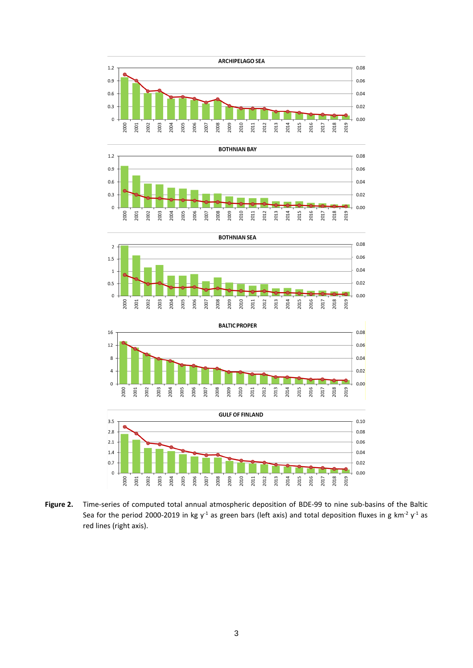









**Figure 2.** Time-series of computed total annual atmospheric deposition of BDE-99 to nine sub-basins of the Baltic Sea for the period 2000-2019 in kg y<sup>-1</sup> as green bars (left axis) and total deposition fluxes in g km<sup>-2</sup> y<sup>-1</sup> as red lines (right axis).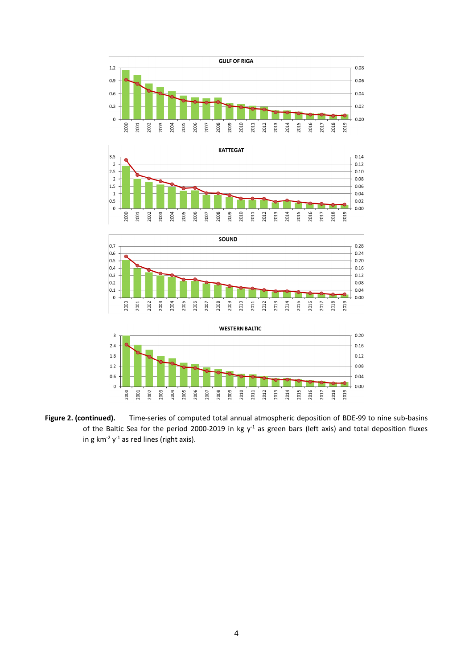







**Figure 2. (continued).** Time-series of computed total annual atmospheric deposition of BDE-99 to nine sub-basins of the Baltic Sea for the period 2000-2019 in kg  $y<sup>-1</sup>$  as green bars (left axis) and total deposition fluxes in g km<sup>-2</sup>  $y$ <sup>-1</sup> as red lines (right axis).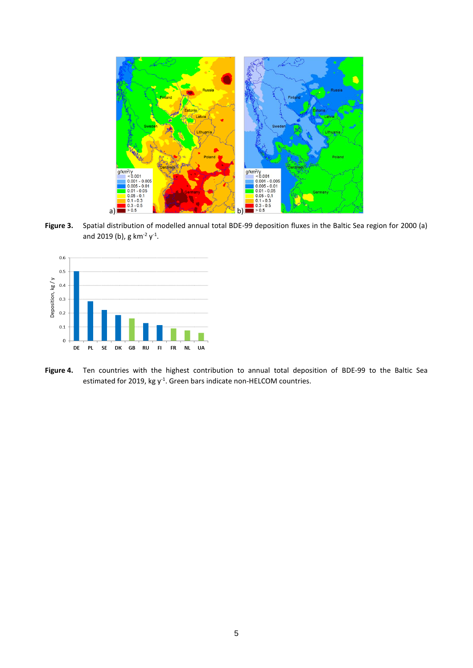

**Figure 3.** Spatial distribution of modelled annual total BDE-99 deposition fluxes in the Baltic Sea region for 2000 (a) and 2019 (b), g km<sup>-2</sup>  $y^{-1}$ .



**Figure 4.** Ten countries with the highest contribution to annual total deposition of BDE-99 to the Baltic Sea estimated for 2019, kg y<sup>-1</sup>. Green bars indicate non-HELCOM countries.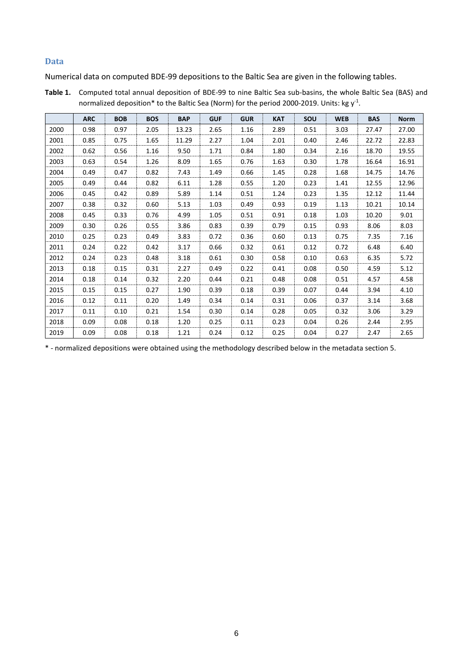#### **Data**

Numerical data on computed BDE-99 depositions to the Baltic Sea are given in the following tables.

|      | <b>ARC</b> | <b>BOB</b> | <b>BOS</b> | <b>BAP</b> | <b>GUF</b> | <b>GUR</b> | <b>KAT</b> | SOU  | <b>WEB</b> | <b>BAS</b> | <b>Norm</b> |
|------|------------|------------|------------|------------|------------|------------|------------|------|------------|------------|-------------|
| 2000 | 0.98       | 0.97       | 2.05       | 13.23      | 2.65       | 1.16       | 2.89       | 0.51 | 3.03       | 27.47      | 27.00       |
| 2001 | 0.85       | 0.75       | 1.65       | 11.29      | 2.27       | 1.04       | 2.01       | 0.40 | 2.46       | 22.72      | 22.83       |
| 2002 | 0.62       | 0.56       | 1.16       | 9.50       | 1.71       | 0.84       | 1.80       | 0.34 | 2.16       | 18.70      | 19.55       |
| 2003 | 0.63       | 0.54       | 1.26       | 8.09       | 1.65       | 0.76       | 1.63       | 0.30 | 1.78       | 16.64      | 16.91       |
| 2004 | 0.49       | 0.47       | 0.82       | 7.43       | 1.49       | 0.66       | 1.45       | 0.28 | 1.68       | 14.75      | 14.76       |
| 2005 | 0.49       | 0.44       | 0.82       | 6.11       | 1.28       | 0.55       | 1.20       | 0.23 | 1.41       | 12.55      | 12.96       |
| 2006 | 0.45       | 0.42       | 0.89       | 5.89       | 1.14       | 0.51       | 1.24       | 0.23 | 1.35       | 12.12      | 11.44       |
| 2007 | 0.38       | 0.32       | 0.60       | 5.13       | 1.03       | 0.49       | 0.93       | 0.19 | 1.13       | 10.21      | 10.14       |
| 2008 | 0.45       | 0.33       | 0.76       | 4.99       | 1.05       | 0.51       | 0.91       | 0.18 | 1.03       | 10.20      | 9.01        |
| 2009 | 0.30       | 0.26       | 0.55       | 3.86       | 0.83       | 0.39       | 0.79       | 0.15 | 0.93       | 8.06       | 8.03        |
| 2010 | 0.25       | 0.23       | 0.49       | 3.83       | 0.72       | 0.36       | 0.60       | 0.13 | 0.75       | 7.35       | 7.16        |
| 2011 | 0.24       | 0.22       | 0.42       | 3.17       | 0.66       | 0.32       | 0.61       | 0.12 | 0.72       | 6.48       | 6.40        |
| 2012 | 0.24       | 0.23       | 0.48       | 3.18       | 0.61       | 0.30       | 0.58       | 0.10 | 0.63       | 6.35       | 5.72        |
| 2013 | 0.18       | 0.15       | 0.31       | 2.27       | 0.49       | 0.22       | 0.41       | 0.08 | 0.50       | 4.59       | 5.12        |
| 2014 | 0.18       | 0.14       | 0.32       | 2.20       | 0.44       | 0.21       | 0.48       | 0.08 | 0.51       | 4.57       | 4.58        |
| 2015 | 0.15       | 0.15       | 0.27       | 1.90       | 0.39       | 0.18       | 0.39       | 0.07 | 0.44       | 3.94       | 4.10        |
| 2016 | 0.12       | 0.11       | 0.20       | 1.49       | 0.34       | 0.14       | 0.31       | 0.06 | 0.37       | 3.14       | 3.68        |
| 2017 | 0.11       | 0.10       | 0.21       | 1.54       | 0.30       | 0.14       | 0.28       | 0.05 | 0.32       | 3.06       | 3.29        |
| 2018 | 0.09       | 0.08       | 0.18       | 1.20       | 0.25       | 0.11       | 0.23       | 0.04 | 0.26       | 2.44       | 2.95        |
| 2019 | 0.09       | 0.08       | 0.18       | 1.21       | 0.24       | 0.12       | 0.25       | 0.04 | 0.27       | 2.47       | 2.65        |

**Table 1.** Computed total annual deposition of BDE-99 to nine Baltic Sea sub-basins, the whole Baltic Sea (BAS) and normalized deposition\* to the Baltic Sea (Norm) for the period 2000-2019. Units: kg  $\mathsf{y}^{\text{-}1}$ .

\* - normalized depositions were obtained using the methodology described below in the metadata section 5.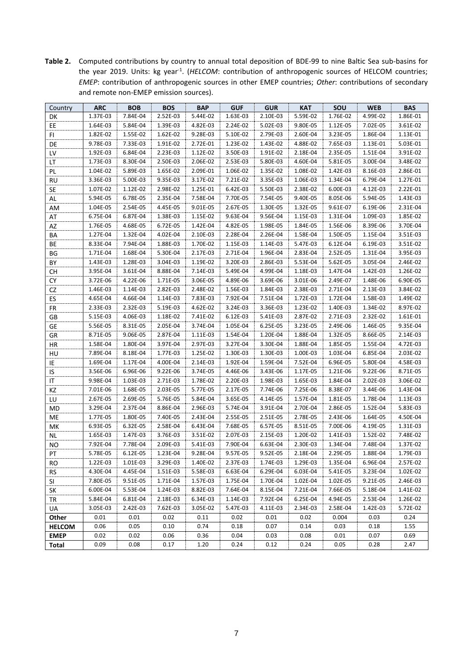**Table 2.** Computed contributions by country to annual total deposition of BDE-99 to nine Baltic Sea sub-basins for the year 2019. Units: kg year<sup>-1</sup>. (HELCOM: contribution of anthropogenic sources of HELCOM countries; *EMEP*: contribution of anthropogenic sources in other EMEP countries; *Other*: contributions of secondary and remote non-EMEP emission sources).

| Country       | <b>ARC</b>           | <b>BOB</b>           | <b>BOS</b>           | <b>BAP</b>           | <b>GUF</b>           | <b>GUR</b>           | KAT                  | SOU                  | <b>WEB</b>           | <b>BAS</b>           |
|---------------|----------------------|----------------------|----------------------|----------------------|----------------------|----------------------|----------------------|----------------------|----------------------|----------------------|
| DK            | 1.37E-03             | 7.84E-04             | 2.52E-03             | 5.44E-02             | 1.63E-03             | 2.10E-03             | 5.59E-02             | 1.76E-02             | 4.99E-02             | 1.86E-01             |
| EE            | 1.64E-03             | 5.84E-04             | 1.39E-03             | 4.82E-03             | 2.24E-02             | 5.02E-03             | 9.80E-05             | 1.12E-05             | 7.02E-05             | 3.61E-02             |
| FI            | 1.82E-02             | 1.55E-02             | 1.62E-02             | 9.28E-03             | 5.10E-02             | 2.79E-03             | 2.60E-04             | 3.23E-05             | 1.86E-04             | 1.13E-01             |
| DE            | 9.78E-03             | 7.33E-03             | 1.91E-02             | 2.72E-01             | 1.23E-02             | 1.43E-02             | 4.88E-02             | 7.65E-03             | 1.13E-01             | 5.03E-01             |
| LV            | 1.92E-03             | 6.84E-04             | 2.23E-03             | 1.12E-02             | 3.50E-03             | 1.91E-02             | 2.18E-04             | 2.35E-05             | 1.51E-04             | 3.91E-02             |
| LT            | 1.73E-03             | 8.30E-04             | 2.50E-03             | 2.06E-02             | 2.53E-03             | 5.80E-03             | 4.60E-04             | 5.81E-05             | 3.00E-04             | 3.48E-02             |
| PL            | 1.04E-02             | 5.89E-03             | 1.65E-02             | 2.09E-01             | 1.06E-02             | 1.35E-02             | 1.08E-02             | 1.42E-03             | 8.16E-03             | 2.86E-01             |
| <b>RU</b>     | 3.36E-03             | 5.00E-03             | 9.35E-03             | 3.17E-02             | 7.21E-02             | 3.35E-03             | 1.06E-03             | 1.34E-04             | 6.79E-04             | 1.27E-01             |
| SE            | 1.07E-02             | 1.12E-02             | 2.98E-02             | 1.25E-01             | 6.42E-03             | 5.50E-03             | 2.38E-02             | 6.00E-03             | 4.12E-03             | 2.22E-01             |
| AL            | 5.94E-05             | 6.78E-05             | 2.35E-04             | 7.58E-04             | 7.70E-05             | 7.54E-05             | 9.40E-05             | 8.05E-06             | 5.94E-05             | 1.43E-03             |
| AM            | 1.04E-05             | 2.54E-05             | 4.45E-05             | 9.01E-05             | 2.67E-05             | 1.30E-05             | 1.32E-05             | 9.61E-07             | 6.19E-06             | 2.31E-04             |
| AT            | 6.75E-04             | 6.87E-04             | 1.38E-03             | 1.15E-02             | 9.63E-04             | 9.56E-04             | 1.15E-03             | 1.31E-04             | 1.09E-03             | 1.85E-02             |
| AZ            | 1.76E-05             | 4.68E-05             | 6.72E-05             | 1.42E-04             | 4.82E-05             | 1.98E-05             | 1.84E-05             | 1.56E-06             | 8.39E-06             | 3.70E-04             |
| ΒA            | 1.27E-04             | 1.32E-04             | 4.02E-04             | 2.10E-03             | 2.28E-04             | 2.26E-04             | 1.58E-04             | 1.50E-05             | 1.15E-04             | 3.51E-03             |
| ВE            | 8.33E-04             | 7.94E-04             | 1.88E-03             | 1.70E-02             | 1.15E-03             | 1.14E-03             | 5.47E-03             | 6.12E-04             | 6.19E-03             | 3.51E-02             |
| ΒG            | 1.71E-04             | 1.68E-04             | 5.30E-04             | 2.17E-03             | 2.71E-04             | 1.96E-04             | 2.83E-04             | 2.52E-05             | 1.31E-04             | 3.95E-03             |
| BY            | 1.43E-03             | 1.28E-03             | 3.04E-03             | 1.19E-02             | 3.20E-03             | 2.86E-03             | 5.53E-04             | 5.62E-05             | 3.05E-04             | 2.46E-02             |
| <b>CH</b>     | 3.95E-04             | 3.61E-04             | 8.88E-04             | 7.14E-03             | 5.49E-04             | 4.99E-04             | 1.18E-03             | 1.47E-04             | 1.42E-03             | 1.26E-02             |
| СY            | 3.72E-06             | 4.22E-06             | 1.71E-05             | 3.06E-05             | 4.89E-06             | 3.69E-06             | 3.01E-06             | 2.49E-07             | 1.48E-06             | 6.90E-05             |
| CZ            | 1.46E-03             | 1.14E-03             | 2.82E-03             | 2.48E-02             | 1.56E-03             | 1.84E-03             | 2.38E-03             | 2.71E-04             | 2.13E-03             | 3.84E-02             |
| ES            | 4.65E-04             | 4.66E-04             | 1.14E-03             | 7.83E-03             | 7.92E-04             | 7.51E-04             | 1.72E-03             | 1.72E-04             | 1.58E-03             | 1.49E-02             |
| FR            | 2.33E-03             | 2.32E-03             | 5.19E-03             | 4.62E-02             | 3.24E-03             | 3.36E-03             | 1.23E-02             | 1.40E-03             | 1.34E-02             | 8.97E-02             |
| GB            | 5.15E-03             | 4.06E-03             | 1.18E-02             | 7.41E-02             | 6.12E-03             | 5.41E-03             | 2.87E-02             | 2.71E-03             | 2.32E-02             | 1.61E-01             |
| GE            | 5.56E-05             | 8.31E-05             | 2.05E-04             | 3.74E-04             | 1.05E-04             | 6.25E-05             | 3.23E-05             | 2.49E-06             | 1.46E-05             | 9.35E-04             |
| GR            | 8.71E-05             | 9.06E-05             | 2.87E-04             | 1.11E-03             | 1.54E-04             | 1.20E-04             | 1.88E-04             | 1.32E-05             | 8.66E-05             | 2.14E-03             |
| HR            | 1.58E-04             | 1.80E-04             | 3.97E-04             | 2.97E-03             | 3.27E-04             | 3.30E-04             | 1.88E-04             | 1.85E-05             | 1.55E-04             | 4.72E-03             |
| HU            | 7.89E-04             | 8.18E-04             | 1.77E-03             | 1.25E-02             | 1.30E-03             | 1.30E-03             | 1.00E-03             | 1.03E-04             | 6.85E-04             | 2.03E-02             |
| IE            | 1.69E-04             | 1.17E-04             | 4.00E-04             | 2.14E-03             | 1.92E-04             | 1.59E-04             | 7.52E-04             | 6.96E-05             | 5.80E-04             | 4.58E-03             |
| IS            | 3.56E-06             | 6.96E-06             | 9.22E-06             | 3.74E-05             | 4.46E-06             | 3.43E-06             | 1.17E-05             | 1.21E-06             | 9.22E-06             | 8.71E-05             |
| IT            | 9.98E-04             | 1.03E-03             | 2.71E-03             | 1.78E-02             | 2.20E-03             | 1.98E-03             | 1.65E-03             | 1.84E-04             | 2.02E-03             | 3.06E-02             |
| ΚZ            | 7.01E-06             | 1.68E-05             | 2.03E-05             | 5.77E-05             | 2.17E-05             | 7.74E-06             | 7.25E-06             | 8.38E-07             | 3.44E-06             | 1.43E-04             |
| LU            | 2.67E-05             | 2.69E-05             | 5.76E-05             | 5.84E-04             | 3.65E-05             | 4.14E-05             | 1.57E-04             | 1.81E-05             | 1.78E-04             | 1.13E-03             |
| MD            | 3.29E-04<br>1.77E-05 | 2.37E-04<br>1.80E-05 | 8.86E-04<br>7.40E-05 | 2.96E-03<br>2.43E-04 | 5.74E-04<br>2.55E-05 | 3.91E-04<br>2.51E-05 | 2.70E-04<br>2.78E-05 | 2.86E-05<br>2.43E-06 | 1.52E-04<br>1.64E-05 | 5.83E-03<br>4.50E-04 |
| ME<br>МK      | 6.93E-05             | 6.32E-05             | 2.58E-04             | 6.43E-04             | 7.68E-05             | 6.57E-05             | 8.51E-05             | 7.00E-06             | 4.19E-05             | 1.31E-03             |
| NL            | 1.65E-03             | 1.47E-03             | 3.76E-03             | 3.51E-02             | 2.07E-03             | 2.15E-03             | 1.20E-02             | 1.41E-03             | 1.52E-02             | 7.48E-02             |
| <b>NO</b>     | 7.92E-04             | 7.78E-04             | 2.09E-03             | 5.41E-03             | 7.90E-04             | 6.63E-04             | 2.30E-03             | 1.34E-04             | 7.48E-04             | 1.37E-02             |
| PT            | 5.78E-05             | 6.12E-05             | 1.23E-04             | 9.28E-04             | 9.57E-05             | 9.52E-05             | 2.18E-04             | 2.29E-05             | 1.88E-04             | 1.79E-03             |
| <b>RO</b>     | 1.22E-03             | 1.01E-03             | 3.29E-03             | 1.40E-02             | 2.37E-03             | 1.74E-03             | 1.29E-03             | 1.35E-04             | 6.96E-04             | 2.57E-02             |
| RS.           | 4.30E-04             | 4.45E-04             | 1.51E-03             | 5.58E-03             | 6.63E-04             | 6.29E-04             | 6.03E-04             | 5.41E-05             | 3.23E-04             | 1.02E-02             |
| SI            | 7.80E-05             | 9.51E-05             | 1.71E-04             | 1.57E-03             | 1.75E-04             | 1.70E-04             | 1.02E-04             | 1.02E-05             | 9.21E-05             | 2.46E-03             |
| SK            | 6.00E-04             | 5.53E-04             | 1.24E-03             | 8.82E-03             | 7.64E-04             | 8.15E-04             | 7.21E-04             | 7.66E-05             | 5.18E-04             | 1.41E-02             |
| TR            | 5.84E-04             | 6.81E-04             | 2.18E-03             | 6.34E-03             | 1.14E-03             | 7.92E-04             | 6.25E-04             | 4.94E-05             | 2.53E-04             | 1.26E-02             |
| UA            | 3.05E-03             | 2.42E-03             | 7.62E-03             | 3.05E-02             | 5.47E-03             | 4.11E-03             | 2.34E-03             | 2.58E-04             | 1.42E-03             | 5.72E-02             |
| Other         | 0.01                 | 0.01                 | 0.02                 | 0.11                 | 0.02                 | 0.01                 | 0.02                 | 0.004                | 0.03                 | 0.24                 |
| <b>HELCOM</b> | 0.06                 | 0.05                 | 0.10                 | 0.74                 | 0.18                 | 0.07                 | 0.14                 | 0.03                 | 0.18                 | 1.55                 |
| <b>EMEP</b>   | 0.02                 | 0.02                 | 0.06                 | 0.36                 | 0.04                 | 0.03                 | 0.08                 | 0.01                 | 0.07                 | 0.69                 |
| Total         | 0.09                 | 0.08                 | 0.17                 | 1.20                 | 0.24                 | 0.12                 | 0.24                 | 0.05                 | 0.28                 | 2.47                 |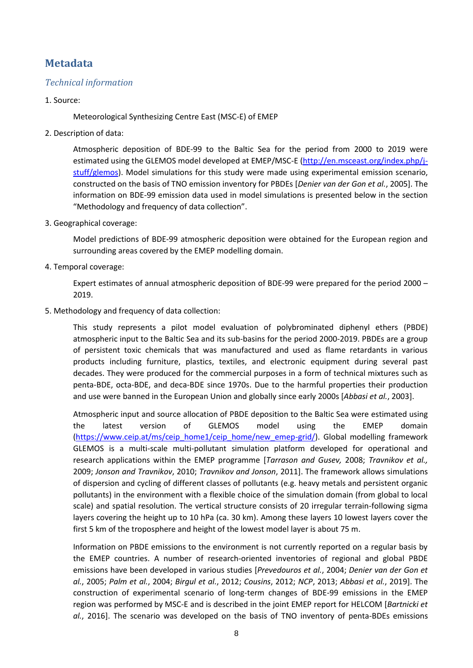# **Metadata**

### *Technical information*

#### 1. Source:

Meteorological Synthesizing Centre East (MSC-E) of EMEP

2. Description of data:

Atmospheric deposition of BDE-99 to the Baltic Sea for the period from 2000 to 2019 were estimated using the GLEMOS model developed at EMEP/MSC-E [\(http://en.msceast.org/index.php/j](http://en.msceast.org/index.php/j-stuff/glemos)[stuff/glemos\)](http://en.msceast.org/index.php/j-stuff/glemos). Model simulations for this study were made using experimental emission scenario, constructed on the basis of TNO emission inventory for PBDEs [*Denier van der Gon et al.*, 2005]. The information on BDE-99 emission data used in model simulations is presented below in the section "Methodology and frequency of data collection".

3. Geographical coverage:

Model predictions of BDE-99 atmospheric deposition were obtained for the European region and surrounding areas covered by the EMEP modelling domain.

4. Temporal coverage:

Expert estimates of annual atmospheric deposition of BDE-99 were prepared for the period 2000 – 2019.

5. Methodology and frequency of data collection:

This study represents a pilot model evaluation of polybrominated diphenyl ethers (PBDE) atmospheric input to the Baltic Sea and its sub-basins for the period 2000-2019. PBDEs are a group of persistent toxic chemicals that was manufactured and used as flame retardants in various products including furniture, plastics, textiles, and electronic equipment during several past decades. They were produced for the commercial purposes in a form of technical mixtures such as penta-BDE, octa-BDE, and deca-BDE since 1970s. Due to the harmful properties their production and use were banned in the European Union and globally since early 2000s [*Abbasi et al.*, 2003].

Atmospheric input and source allocation of PBDE deposition to the Baltic Sea were estimated using the latest version of GLEMOS model using the EMEP domain [\(https://www.ceip.at/ms/ceip\\_home1/ceip\\_home/new\\_emep-grid/\)](https://www.ceip.at/ms/ceip_home1/ceip_home/new_emep-grid/). Global modelling framework GLEMOS is a multi-scale multi-pollutant simulation platform developed for operational and research applications within the EMEP programme [*Tarrason and Gusev,* 2008; *Travnikov et al.,* 2009; *Jonson and Travnikov*, 2010; *Travnikov and Jonson*, 2011]. The framework allows simulations of dispersion and cycling of different classes of pollutants (e.g. heavy metals and persistent organic pollutants) in the environment with a flexible choice of the simulation domain (from global to local scale) and spatial resolution. The vertical structure consists of 20 irregular terrain-following sigma layers covering the height up to 10 hPa (ca. 30 km). Among these layers 10 lowest layers cover the first 5 km of the troposphere and height of the lowest model layer is about 75 m.

Information on PBDE emissions to the environment is not currently reported on a regular basis by the EMEP countries. A number of research-oriented inventories of regional and global PBDE emissions have been developed in various studies [*Prevedouros et al.*, 2004; *Denier van der Gon et al.*, 2005; *Palm et al.*, 2004; *Birgul et al.*, 2012; *Cousins*, 2012; *NCP*, 2013; *Abbasi et al.*, 2019]. The construction of experimental scenario of long-term changes of BDE-99 emissions in the EMEP region was performed by MSC-E and is described in the joint EMEP report for HELCOM [*Bartnicki et al.*, 2016]. The scenario was developed on the basis of TNO inventory of penta-BDEs emissions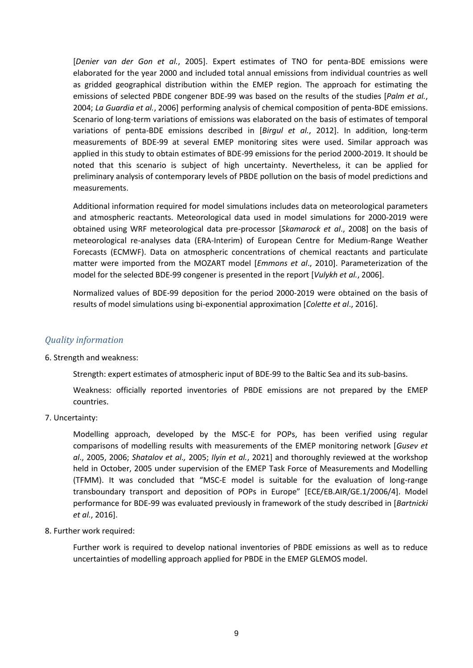[*Denier van der Gon et al.*, 2005]. Expert estimates of TNO for penta-BDE emissions were elaborated for the year 2000 and included total annual emissions from individual countries as well as gridded geographical distribution within the EMEP region. The approach for estimating the emissions of selected PBDE congener BDE-99 was based on the results of the studies [*Palm et al.*, 2004; *La Guardia et al.*, 2006] performing analysis of chemical composition of penta-BDE emissions. Scenario of long-term variations of emissions was elaborated on the basis of estimates of temporal variations of penta-BDE emissions described in [*Birgul et al.*, 2012]. In addition, long-term measurements of BDE-99 at several EMEP monitoring sites were used. Similar approach was applied in this study to obtain estimates of BDE-99 emissions for the period 2000-2019. It should be noted that this scenario is subject of high uncertainty. Nevertheless, it can be applied for preliminary analysis of contemporary levels of PBDE pollution on the basis of model predictions and measurements.

Additional information required for model simulations includes data on meteorological parameters and atmospheric reactants. Meteorological data used in model simulations for 2000-2019 were obtained using WRF meteorological data pre-processor [*Skamarock et al*., 2008] on the basis of meteorological re-analyses data (ERA-Interim) of European Centre for Medium-Range Weather Forecasts (ECMWF). Data on atmospheric concentrations of chemical reactants and particulate matter were imported from the MOZART model [*Emmons et al*., 2010]. Parameterization of the model for the selected BDE-99 congener is presented in the report [*Vulykh et al.*, 2006].

Normalized values of BDE-99 deposition for the period 2000-2019 were obtained on the basis of results of model simulations using bi-exponential approximation [*Colette et al*., 2016].

### *Quality information*

#### 6. Strength and weakness:

Strength: expert estimates of atmospheric input of BDE-99 to the Baltic Sea and its sub-basins.

Weakness: officially reported inventories of PBDE emissions are not prepared by the EMEP countries.

7. Uncertainty:

Modelling approach, developed by the MSC-E for POPs, has been verified using regular comparisons of modelling results with measurements of the EMEP monitoring network [*Gusev et al*., 2005, 2006; *Shatalov et al.,* 2005; *Ilyin et al.*, 2021] and thoroughly reviewed at the workshop held in October, 2005 under supervision of the EMEP Task Force of Measurements and Modelling (TFMM). It was concluded that "MSC-E model is suitable for the evaluation of long-range transboundary transport and deposition of POPs in Europe" [ECE/EB.AIR/GE.1/2006/4]. Model performance for BDE-99 was evaluated previously in framework of the study described in [*Bartnicki et al.*, 2016].

8. Further work required:

Further work is required to develop national inventories of PBDE emissions as well as to reduce uncertainties of modelling approach applied for PBDE in the EMEP GLEMOS model.